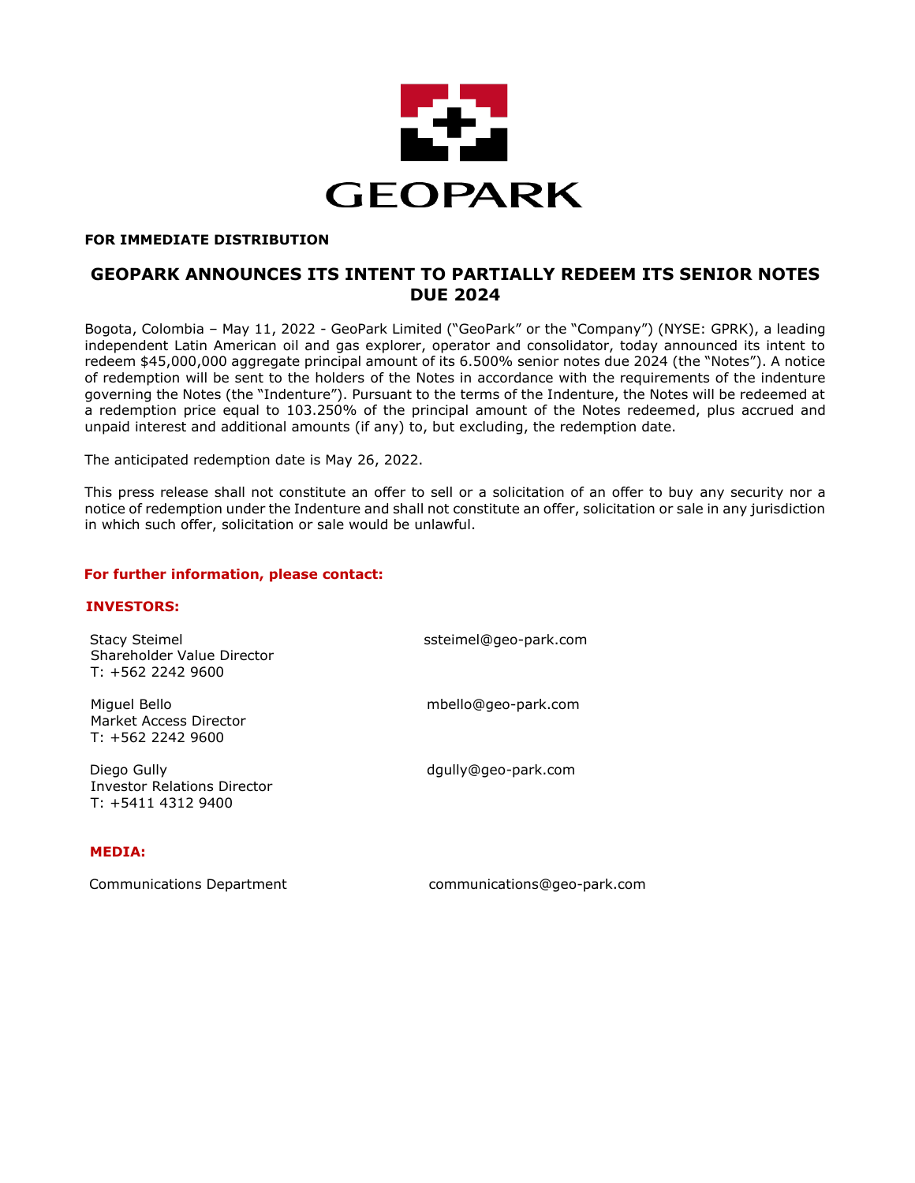

## **FOR IMMEDIATE DISTRIBUTION**

# **GEOPARK ANNOUNCES ITS INTENT TO PARTIALLY REDEEM ITS SENIOR NOTES DUE 2024**

Bogota, Colombia – May 11, 2022 - GeoPark Limited ("GeoPark" or the "Company") (NYSE: GPRK), a leading independent Latin American oil and gas explorer, operator and consolidator, today announced its intent to redeem \$45,000,000 aggregate principal amount of its 6.500% senior notes due 2024 (the "Notes"). A notice of redemption will be sent to the holders of the Notes in accordance with the requirements of the indenture governing the Notes (the "Indenture"). Pursuant to the terms of the Indenture, the Notes will be redeemed at a redemption price equal to 103.250% of the principal amount of the Notes redeemed, plus accrued and unpaid interest and additional amounts (if any) to, but excluding, the redemption date.

The anticipated redemption date is May 26, 2022.

This press release shall not constitute an offer to sell or a solicitation of an offer to buy any security nor a notice of redemption under the Indenture and shall not constitute an offer, solicitation or sale in any jurisdiction in which such offer, solicitation or sale would be unlawful.

#### **For further information, please contact:**

#### **INVESTORS:**

**Stacy Steimel Stacy Steimel**  Shareholder Value Director T: +562 2242 9600

 Market Access Director T: +562 2242 9600

 Investor Relations Director T: +5411 4312 9400

 **MEDIA:**

Communications Department communications@geo-park.com

Miguel Bello mbello@geo-park.com

**Diego Gully and Community Community discussed by dgully@geo-park.com**